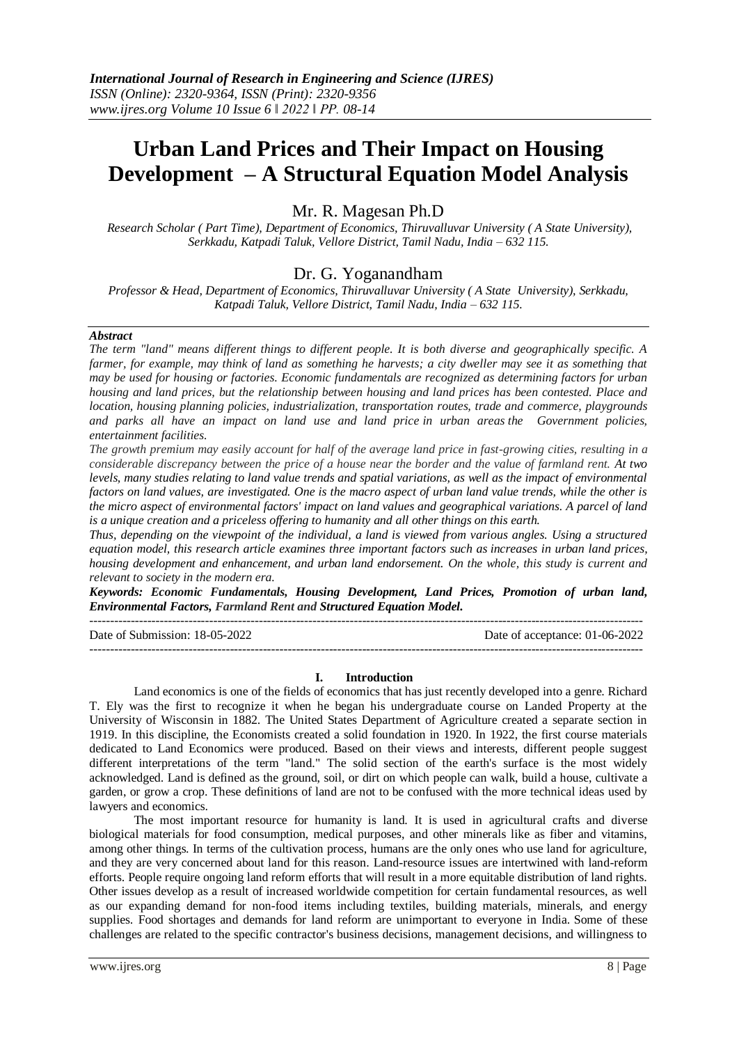# **Urban Land Prices and Their Impact on Housing Development – A Structural Equation Model Analysis**

Mr. R. Magesan Ph.D

*Research Scholar ( Part Time), Department of Economics, Thiruvalluvar University ( A State University), Serkkadu, Katpadi Taluk, Vellore District, Tamil Nadu, India – 632 115.*

# Dr. G. Yoganandham

*Professor & Head, Department of Economics, Thiruvalluvar University ( A State University), Serkkadu, Katpadi Taluk, Vellore District, Tamil Nadu, India – 632 115.*

## *Abstract*

*The term "land" means different things to different people. It is both diverse and geographically specific. A farmer, for example, may think of land as something he harvests; a city dweller may see it as something that may be used for housing or factories. Economic fundamentals are recognized as determining factors for urban housing and land prices, but the relationship between housing and land prices has been contested. Place and location, housing planning policies, industrialization, transportation routes, trade and commerce, playgrounds and parks all have an impact on land use and land price in urban areas the Government policies, entertainment facilities.*

*The growth premium may easily account for half of the average land price in fast-growing cities, resulting in a considerable discrepancy between the price of a house near the border and the value of farmland rent. At two levels, many studies relating to land value trends and spatial variations, as well as the impact of environmental factors on land values, are investigated. One is the macro aspect of urban land value trends, while the other is the micro aspect of environmental factors' impact on land values and geographical variations. A parcel of land is a unique creation and a priceless offering to humanity and all other things on this earth.*

*Thus, depending on the viewpoint of the individual, a land is viewed from various angles. Using a structured equation model, this research article examines three important factors such as increases in urban land prices, housing development and enhancement, and urban land endorsement. On the whole, this study is current and relevant to society in the modern era.*

*Keywords: Economic Fundamentals, Housing Development, Land Prices, Promotion of urban land, Environmental Factors, Farmland Rent and Structured Equation Model.*

-------------------------------------------------------------------------------------------------------------------------------------- Date of Submission: 18-05-2022 Date of acceptance: 01-06-2022 --------------------------------------------------------------------------------------------------------------------------------------

#### **I. Introduction**

Land economics is one of the fields of economics that has just recently developed into a genre. Richard T. Ely was the first to recognize it when he began his undergraduate course on Landed Property at the University of Wisconsin in 1882. The United States Department of Agriculture created a separate section in 1919. In this discipline, the Economists created a solid foundation in 1920. In 1922, the first course materials dedicated to Land Economics were produced. Based on their views and interests, different people suggest different interpretations of the term "land." The solid section of the earth's surface is the most widely acknowledged. Land is defined as the ground, soil, or dirt on which people can walk, build a house, cultivate a garden, or grow a crop. These definitions of land are not to be confused with the more technical ideas used by lawyers and economics.

The most important resource for humanity is land. It is used in agricultural crafts and diverse biological materials for food consumption, medical purposes, and other minerals like as fiber and vitamins, among other things. In terms of the cultivation process, humans are the only ones who use land for agriculture, and they are very concerned about land for this reason. Land-resource issues are intertwined with land-reform efforts. People require ongoing land reform efforts that will result in a more equitable distribution of land rights. Other issues develop as a result of increased worldwide competition for certain fundamental resources, as well as our expanding demand for non-food items including textiles, building materials, minerals, and energy supplies. Food shortages and demands for land reform are unimportant to everyone in India. Some of these challenges are related to the specific contractor's business decisions, management decisions, and willingness to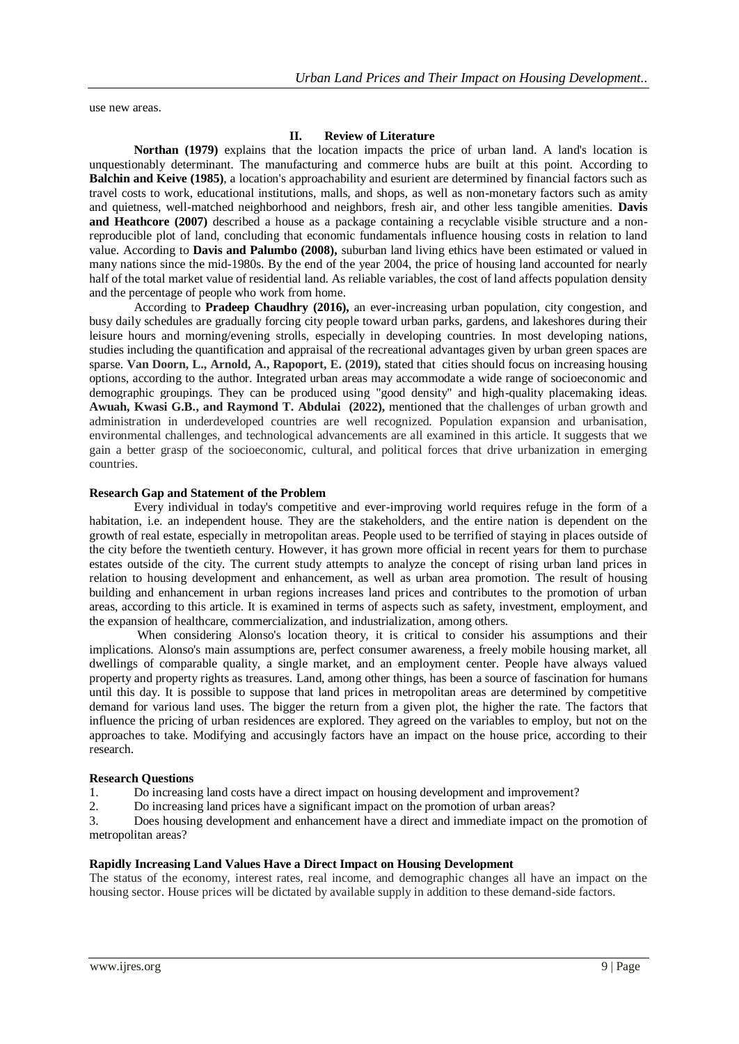use new areas.

#### **II. Review of Literature**

**Northan (1979)** explains that the location impacts the price of urban land. A land's location is unquestionably determinant. The manufacturing and commerce hubs are built at this point. According to **Balchin and Keive (1985)**, a location's approachability and esurient are determined by financial factors such as travel costs to work, educational institutions, malls, and shops, as well as non-monetary factors such as amity and quietness, well-matched neighborhood and neighbors, fresh air, and other less tangible amenities. **Davis and Heathcore (2007)** described a house as a package containing a recyclable visible structure and a nonreproducible plot of land, concluding that economic fundamentals influence housing costs in relation to land value. According to **Davis and Palumbo (2008),** suburban land living ethics have been estimated or valued in many nations since the mid-1980s. By the end of the year 2004, the price of housing land accounted for nearly half of the total market value of residential land. As reliable variables, the cost of land affects population density and the percentage of people who work from home.

According to **Pradeep Chaudhry (2016),** an ever-increasing urban population, city congestion, and busy daily schedules are gradually forcing city people toward urban parks, gardens, and lakeshores during their leisure hours and morning/evening strolls, especially in developing countries. In most developing nations, studies including the quantification and appraisal of the recreational advantages given by urban green spaces are sparse. **Van Doorn, L., Arnold, A., Rapoport, E. (2019),** stated that cities should focus on increasing housing options, according to the author. Integrated urban areas may accommodate a wide range of socioeconomic and demographic groupings. They can be produced using "good density" and high-quality placemaking ideas. **Awuah, Kwasi G.B., and Raymond T. Abdulai (2022),** mentioned that the challenges of urban growth and administration in underdeveloped countries are well recognized. Population expansion and urbanisation, environmental challenges, and technological advancements are all examined in this article. It suggests that we gain a better grasp of the socioeconomic, cultural, and political forces that drive urbanization in emerging countries.

#### **Research Gap and Statement of the Problem**

Every individual in today's competitive and ever-improving world requires refuge in the form of a habitation, i.e. an independent house. They are the stakeholders, and the entire nation is dependent on the growth of real estate, especially in metropolitan areas. People used to be terrified of staying in places outside of the city before the twentieth century. However, it has grown more official in recent years for them to purchase estates outside of the city. The current study attempts to analyze the concept of rising urban land prices in relation to housing development and enhancement, as well as urban area promotion. The result of housing building and enhancement in urban regions increases land prices and contributes to the promotion of urban areas, according to this article. It is examined in terms of aspects such as safety, investment, employment, and the expansion of healthcare, commercialization, and industrialization, among others.

When considering Alonso's location theory, it is critical to consider his assumptions and their implications. Alonso's main assumptions are, perfect consumer awareness, a freely mobile housing market, all dwellings of comparable quality, a single market, and an employment center. People have always valued property and property rights as treasures. Land, among other things, has been a source of fascination for humans until this day. It is possible to suppose that land prices in metropolitan areas are determined by competitive demand for various land uses. The bigger the return from a given plot, the higher the rate. The factors that influence the pricing of urban residences are explored. They agreed on the variables to employ, but not on the approaches to take. Modifying and accusingly factors have an impact on the house price, according to their research.

#### **Research Questions**

1. Do increasing land costs have a direct impact on housing development and improvement?

2. Do increasing land prices have a significant impact on the promotion of urban areas?

3. Does housing development and enhancement have a direct and immediate impact on the promotion of metropolitan areas?

#### **Rapidly Increasing Land Values Have a Direct Impact on Housing Development**

The status of the economy, interest rates, real income, and demographic changes all have an impact on the housing sector. House prices will be dictated by available supply in addition to these demand-side factors.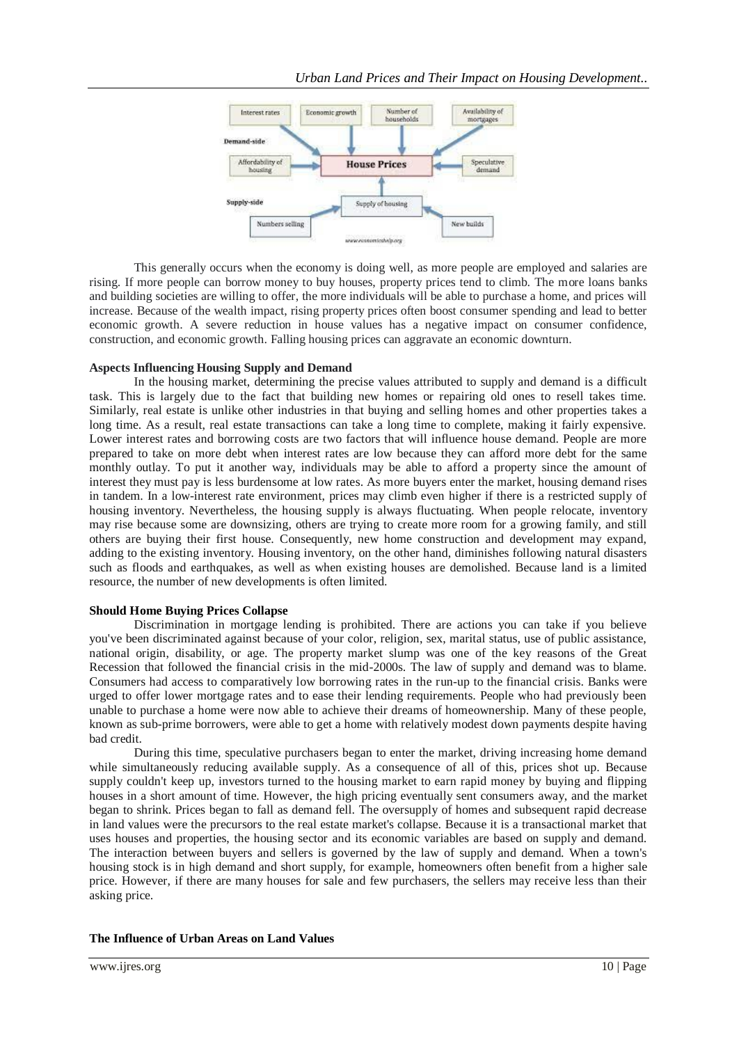

This generally occurs when the economy is doing well, as more people are employed and salaries are rising. If more people can borrow money to buy houses, property prices tend to climb. The more loans banks and building societies are willing to offer, the more individuals will be able to purchase a home, and prices will increase. Because of the wealth impact, rising property prices often boost consumer spending and lead to better economic growth. A severe reduction in house values has a negative impact on consumer confidence, construction, and economic growth. Falling housing prices can aggravate an economic downturn.

#### **Aspects Influencing Housing Supply and Demand**

In the housing market, determining the precise values attributed to supply and demand is a difficult task. This is largely due to the fact that building new homes or repairing old ones to resell takes time. Similarly, real estate is unlike other industries in that buying and selling homes and other properties takes a long time. As a result, real estate transactions can take a long time to complete, making it fairly expensive. Lower interest rates and borrowing costs are two factors that will influence house demand. People are more prepared to take on more debt when interest rates are low because they can afford more debt for the same monthly outlay. To put it another way, individuals may be able to afford a property since the amount of interest they must pay is less burdensome at low rates. As more buyers enter the market, housing demand rises in tandem. In a low-interest rate environment, prices may climb even higher if there is a restricted supply of housing inventory. Nevertheless, the housing supply is always fluctuating. When people relocate, inventory may rise because some are downsizing, others are trying to create more room for a growing family, and still others are buying their first house. Consequently, new home construction and development may expand, adding to the existing inventory. Housing inventory, on the other hand, diminishes following natural disasters such as floods and earthquakes, as well as when existing houses are demolished. Because land is a limited resource, the number of new developments is often limited.

#### **Should Home Buying Prices Collapse**

Discrimination in mortgage lending is prohibited. There are actions you can take if you believe you've been discriminated against because of your color, religion, sex, marital status, use of public assistance, national origin, disability, or age. The property market slump was one of the key reasons of the Great Recession that followed the financial crisis in the mid-2000s. The law of supply and demand was to blame. Consumers had access to comparatively low borrowing rates in the run-up to the financial crisis. Banks were urged to offer lower mortgage rates and to ease their lending requirements. People who had previously been unable to purchase a home were now able to achieve their dreams of homeownership. Many of these people, known as sub-prime borrowers, were able to get a home with relatively modest down payments despite having bad credit.

During this time, speculative purchasers began to enter the market, driving increasing home demand while simultaneously reducing available supply. As a consequence of all of this, prices shot up. Because supply couldn't keep up, investors turned to the housing market to earn rapid money by buying and flipping houses in a short amount of time. However, the high pricing eventually sent consumers away, and the market began to shrink. Prices began to fall as demand fell. The oversupply of homes and subsequent rapid decrease in land values were the precursors to the real estate market's collapse. Because it is a transactional market that uses houses and properties, the housing sector and its economic variables are based on supply and demand. The interaction between buyers and sellers is governed by the law of supply and demand. When a town's housing stock is in high demand and short supply, for example, homeowners often benefit from a higher sale price. However, if there are many houses for sale and few purchasers, the sellers may receive less than their asking price.

#### **The Influence of Urban Areas on Land Values**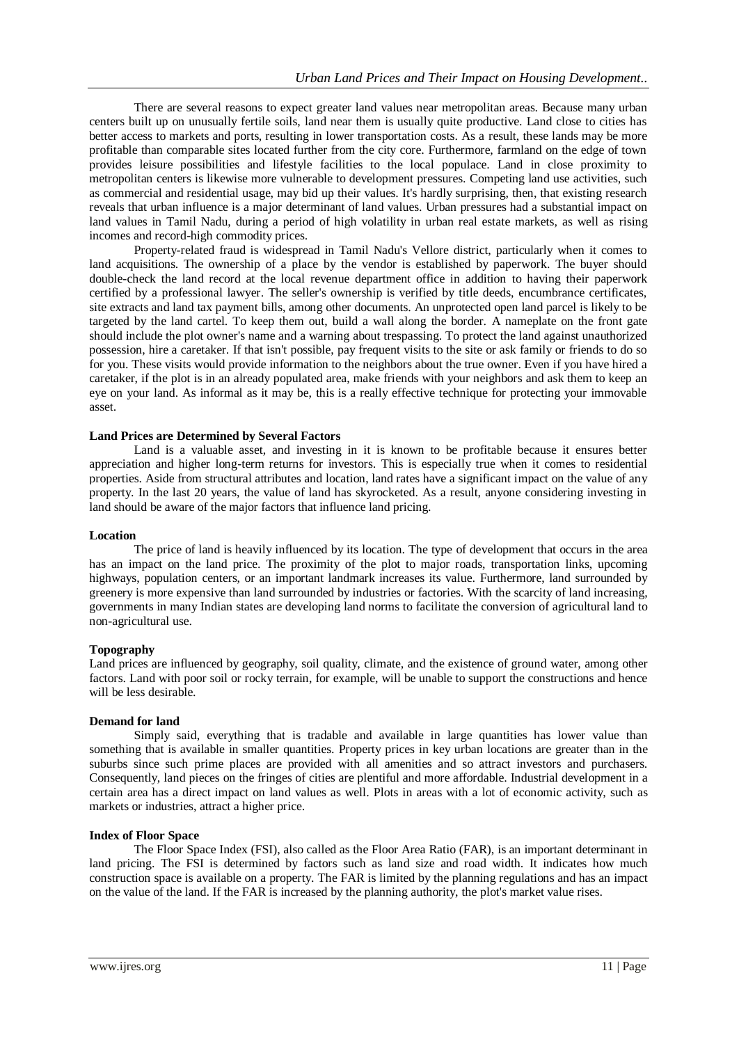There are several reasons to expect greater land values near metropolitan areas. Because many urban centers built up on unusually fertile soils, land near them is usually quite productive. Land close to cities has better access to markets and ports, resulting in lower transportation costs. As a result, these lands may be more profitable than comparable sites located further from the city core. Furthermore, farmland on the edge of town provides leisure possibilities and lifestyle facilities to the local populace. Land in close proximity to metropolitan centers is likewise more vulnerable to development pressures. Competing land use activities, such as commercial and residential usage, may bid up their values. It's hardly surprising, then, that existing research reveals that urban influence is a major determinant of land values. Urban pressures had a substantial impact on land values in Tamil Nadu, during a period of high volatility in urban real estate markets, as well as rising incomes and record-high commodity prices.

Property-related fraud is widespread in Tamil Nadu's Vellore district, particularly when it comes to land acquisitions. The ownership of a place by the vendor is established by paperwork. The buyer should double-check the land record at the local revenue department office in addition to having their paperwork certified by a professional lawyer. The seller's ownership is verified by title deeds, encumbrance certificates, site extracts and land tax payment bills, among other documents. An unprotected open land parcel is likely to be targeted by the land cartel. To keep them out, build a wall along the border. A nameplate on the front gate should include the plot owner's name and a warning about trespassing. To protect the land against unauthorized possession, hire a caretaker. If that isn't possible, pay frequent visits to the site or ask family or friends to do so for you. These visits would provide information to the neighbors about the true owner. Even if you have hired a caretaker, if the plot is in an already populated area, make friends with your neighbors and ask them to keep an eye on your land. As informal as it may be, this is a really effective technique for protecting your immovable asset.

## **Land Prices are Determined by Several Factors**

Land is a valuable asset, and investing in it is known to be profitable because it ensures better appreciation and higher long-term returns for investors. This is especially true when it comes to residential properties. Aside from structural attributes and location, land rates have a significant impact on the value of any property. In the last 20 years, the value of land has skyrocketed. As a result, anyone considering investing in land should be aware of the major factors that influence land pricing.

## **Location**

The price of land is heavily influenced by its location. The type of development that occurs in the area has an impact on the land price. The proximity of the plot to major roads, transportation links, upcoming highways, population centers, or an important landmark increases its value. Furthermore, land surrounded by greenery is more expensive than land surrounded by industries or factories. With the scarcity of land increasing, governments in many Indian states are developing land norms to facilitate the conversion of agricultural land to non-agricultural use.

## **Topography**

Land prices are influenced by geography, soil quality, climate, and the existence of ground water, among other factors. Land with poor soil or rocky terrain, for example, will be unable to support the constructions and hence will be less desirable.

## **Demand for land**

Simply said, everything that is tradable and available in large quantities has lower value than something that is available in smaller quantities. Property prices in key urban locations are greater than in the suburbs since such prime places are provided with all amenities and so attract investors and purchasers. Consequently, land pieces on the fringes of cities are plentiful and more affordable. Industrial development in a certain area has a direct impact on land values as well. Plots in areas with a lot of economic activity, such as markets or industries, attract a higher price.

## **Index of Floor Space**

The Floor Space Index (FSI), also called as the Floor Area Ratio (FAR), is an important determinant in land pricing. The FSI is determined by factors such as land size and road width. It indicates how much construction space is available on a property. The FAR is limited by the planning regulations and has an impact on the value of the land. If the FAR is increased by the planning authority, the plot's market value rises.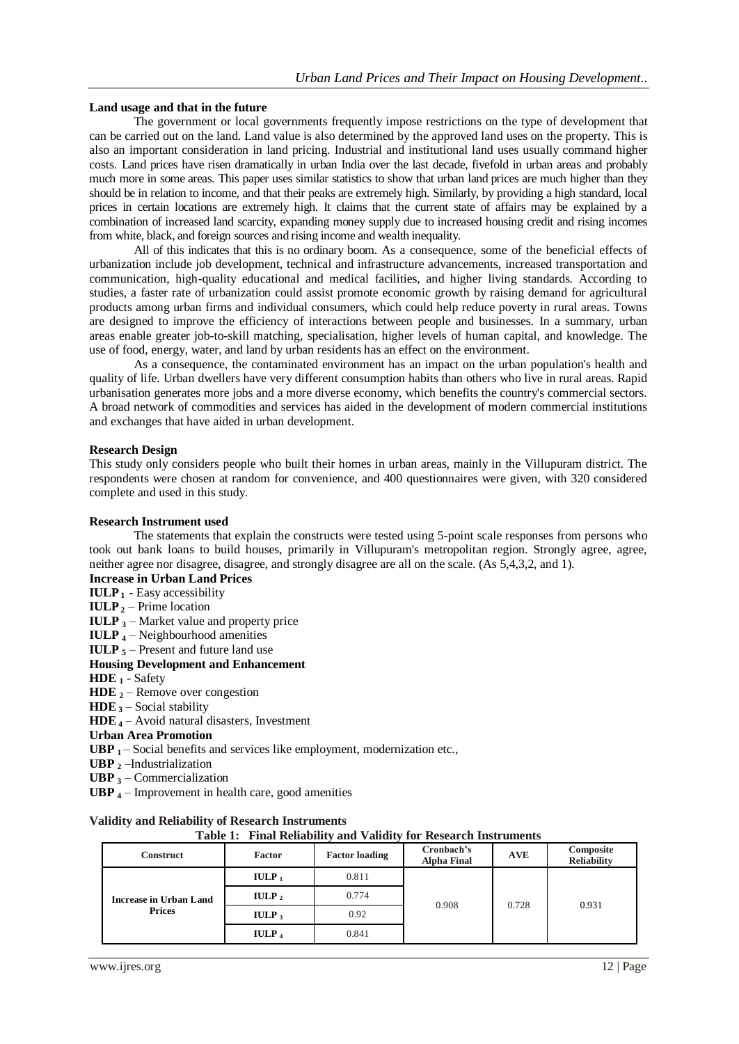## **Land usage and that in the future**

The government or local governments frequently impose restrictions on the type of development that can be carried out on the land. Land value is also determined by the approved land uses on the property. This is also an important consideration in land pricing. Industrial and institutional land uses usually command higher costs. Land prices have risen dramatically in urban India over the last decade, fivefold in urban areas and probably much more in some areas. This paper uses similar statistics to show that urban land prices are much higher than they should be in relation to income, and that their peaks are extremely high. Similarly, by providing a high standard, local prices in certain locations are extremely high. It claims that the current state of affairs may be explained by a combination of increased land scarcity, expanding money supply due to increased housing credit and rising incomes from white, black, and foreign sources and rising income and wealth inequality.

All of this indicates that this is no ordinary boom. As a consequence, some of the beneficial effects of urbanization include job development, technical and infrastructure advancements, increased transportation and communication, high-quality educational and medical facilities, and higher living standards. According to studies, a faster rate of urbanization could assist promote economic growth by raising demand for agricultural products among urban firms and individual consumers, which could help reduce poverty in rural areas. Towns are designed to improve the efficiency of interactions between people and businesses. In a summary, urban areas enable greater job-to-skill matching, specialisation, higher levels of human capital, and knowledge. The use of food, energy, water, and land by urban residents has an effect on the environment.

As a consequence, the contaminated environment has an impact on the urban population's health and quality of life. Urban dwellers have very different consumption habits than others who live in rural areas. Rapid urbanisation generates more jobs and a more diverse economy, which benefits the country's commercial sectors. A broad network of commodities and services has aided in the development of modern commercial institutions and exchanges that have aided in urban development.

#### **Research Design**

This study only considers people who built their homes in urban areas, mainly in the Villupuram district. The respondents were chosen at random for convenience, and 400 questionnaires were given, with 320 considered complete and used in this study.

#### **Research Instrument used**

The statements that explain the constructs were tested using 5-point scale responses from persons who took out bank loans to build houses, primarily in Villupuram's metropolitan region. Strongly agree, agree, neither agree nor disagree, disagree, and strongly disagree are all on the scale. (As 5,4,3,2, and 1).

- **Increase in Urban Land Prices**
- **IULP <sup>1</sup>** Easy accessibility
- **IULP**  $2$  Prime location
- **IULP <sup>3</sup>** Market value and property price
- **IULP <sup>4</sup>** Neighbourhood amenities
- **IULP**  $\frac{1}{5}$  Present and future land use

#### **Housing Development and Enhancement**

- **HDE <sup>1</sup>** Safety
- **HDE <sup>2</sup>** Remove over congestion
- **HDE <sup>3</sup>** Social stability
- **HDE <sup>4</sup>** Avoid natural disasters, Investment

**Urban Area Promotion**

- **UBP**  $_1$  Social benefits and services like employment, modernization etc.,
- **UBP <sup>2</sup>** –Industrialization
- **UBP <sup>3</sup>** Commercialization
- **UBP <sup>4</sup>** Improvement in health care, good amenities

## **Validity and Reliability of Research Instruments**

| Table 1: Final Reliability and Validity for Research Instruments |  |  |
|------------------------------------------------------------------|--|--|
|------------------------------------------------------------------|--|--|

| <b>Construct</b>                               | Factor            | <b>Factor loading</b> | Cronbach's<br><b>Alpha Final</b> | <b>AVE</b> | Composite<br><b>Reliability</b> |
|------------------------------------------------|-------------------|-----------------------|----------------------------------|------------|---------------------------------|
| <b>Increase in Urban Land</b><br><b>Prices</b> | $IULP_1$          | 0.811                 |                                  | 0.728      | 0.931                           |
|                                                | IULP $_2$         | 0.774                 | 0.908                            |            |                                 |
|                                                | $IULP_3$          | 0.92                  |                                  |            |                                 |
|                                                | IULP <sub>4</sub> | 0.841                 |                                  |            |                                 |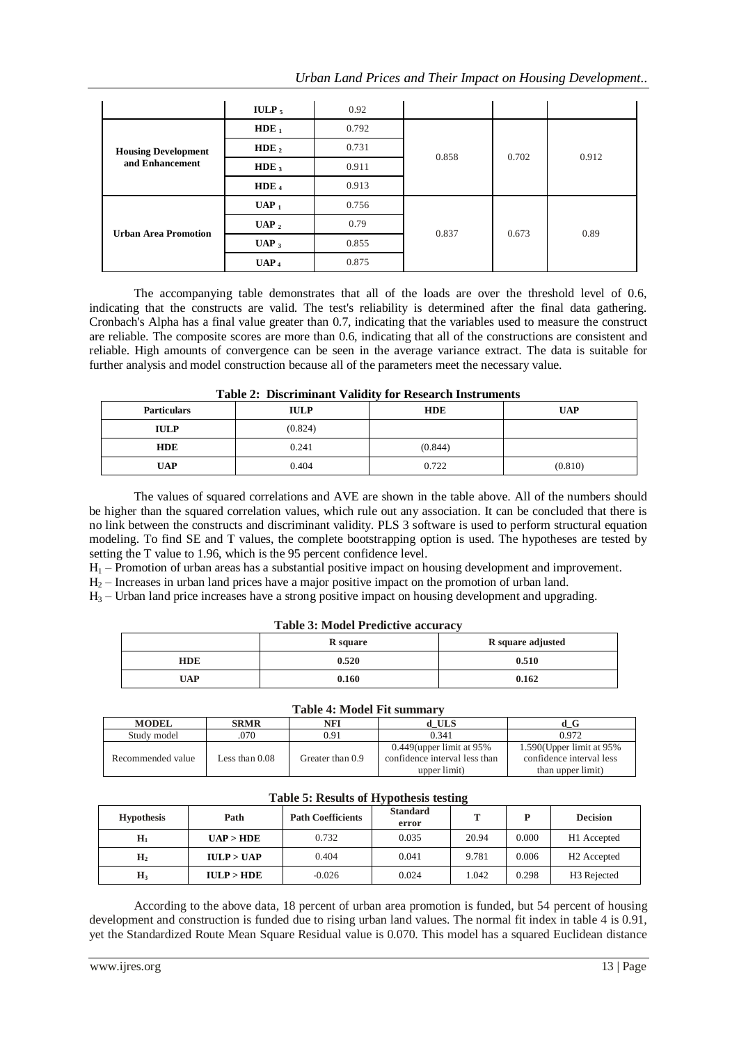| Urban Land Prices and Their Impact on Housing Development |  |  |  |  |
|-----------------------------------------------------------|--|--|--|--|

|                                               | <b>IULP</b> <sub>5</sub> | 0.92  |       |       |       |
|-----------------------------------------------|--------------------------|-------|-------|-------|-------|
| <b>Housing Development</b><br>and Enhancement | $HDE_1$                  | 0.792 | 0.858 | 0.702 | 0.912 |
|                                               | HDE $_2$                 | 0.731 |       |       |       |
|                                               | $HDE_3$                  | 0.911 |       |       |       |
|                                               | HDE $_4$                 | 0.913 |       |       |       |
| <b>Urban Area Promotion</b>                   | $UAP_1$                  | 0.756 |       | 0.673 | 0.89  |
|                                               | $UAP_2$                  | 0.79  |       |       |       |
|                                               | $UAP_3$                  | 0.855 | 0.837 |       |       |
|                                               | UAP <sub>4</sub>         | 0.875 |       |       |       |

The accompanying table demonstrates that all of the loads are over the threshold level of 0.6, indicating that the constructs are valid. The test's reliability is determined after the final data gathering. Cronbach's Alpha has a final value greater than 0.7, indicating that the variables used to measure the construct are reliable. The composite scores are more than 0.6, indicating that all of the constructions are consistent and reliable. High amounts of convergence can be seen in the average variance extract. The data is suitable for further analysis and model construction because all of the parameters meet the necessary value.

| Table 2. Discriminant validity for Research Histi unients |         |            |            |  |  |  |  |
|-----------------------------------------------------------|---------|------------|------------|--|--|--|--|
| <b>Particulars</b><br><b>IULP</b>                         |         | <b>HDE</b> | <b>UAP</b> |  |  |  |  |
| <b>IULP</b>                                               | (0.824) |            |            |  |  |  |  |
| <b>HDE</b>                                                | 0.241   | (0.844)    |            |  |  |  |  |
| <b>UAP</b>                                                | 0.404   | 0.722      | (0.810)    |  |  |  |  |

|  | <b>Table 2: Discriminant Validity for Research Instruments</b> |  |  |  |  |
|--|----------------------------------------------------------------|--|--|--|--|
|--|----------------------------------------------------------------|--|--|--|--|

The values of squared correlations and AVE are shown in the table above. All of the numbers should be higher than the squared correlation values, which rule out any association. It can be concluded that there is no link between the constructs and discriminant validity. PLS 3 software is used to perform structural equation modeling. To find SE and T values, the complete bootstrapping option is used. The hypotheses are tested by setting the T value to 1.96, which is the 95 percent confidence level.

 $H_1$  – Promotion of urban areas has a substantial positive impact on housing development and improvement.

 $H<sub>2</sub>$  – Increases in urban land prices have a major positive impact on the promotion of urban land.

H<sup>3</sup> – Urban land price increases have a strong positive impact on housing development and upgrading.

|  | <b>Table 3: Model Predictive accuracy</b> |  |
|--|-------------------------------------------|--|
|  |                                           |  |

|            | <b>R</b> square | R square adjusted |
|------------|-----------------|-------------------|
| <b>HDE</b> | 0.520           | 0.510             |
| <b>UAP</b> | 0.160           | 0.162             |

## **Table 4: Model Fit summary**

| тамк т. мтоаст гл. запинат |                  |                  |                                                                              |                                                                              |  |  |  |
|----------------------------|------------------|------------------|------------------------------------------------------------------------------|------------------------------------------------------------------------------|--|--|--|
| <b>MODEL</b>               | <b>SRMR</b>      | NFI              | d ULS                                                                        | d G                                                                          |  |  |  |
| Study model                | 070              | 0.91             | 0.341                                                                        | 0.972                                                                        |  |  |  |
| Recommended value          | Less than $0.08$ | Greater than 0.9 | $0.449$ (upper limit at 95%<br>confidence interval less than<br>upper limit) | $1.590$ (Upper limit at 95%<br>confidence interval less<br>than upper limit) |  |  |  |

## **Table 5: Results of Hypothesis testing**

| <b>Hypothesis</b> | Path       | <b>Path Coefficients</b> | <b>Standard</b><br>error | т     |       | <b>Decision</b>         |
|-------------------|------------|--------------------------|--------------------------|-------|-------|-------------------------|
| $H_1$             | UAP > HDE  | 0.732                    | 0.035                    | 20.94 | 0.000 | H1 Accepted             |
| H <sub>2</sub>    | IULP > UAP | 0.404                    | 0.041                    | 9.781 | 0.006 | H <sub>2</sub> Accepted |
| $H_3$             | IULP > HDE | $-0.026$                 | 0.024                    | 1.042 | 0.298 | H <sub>3</sub> Rejected |

According to the above data, 18 percent of urban area promotion is funded, but 54 percent of housing development and construction is funded due to rising urban land values. The normal fit index in table 4 is 0.91, yet the Standardized Route Mean Square Residual value is 0.070. This model has a squared Euclidean distance